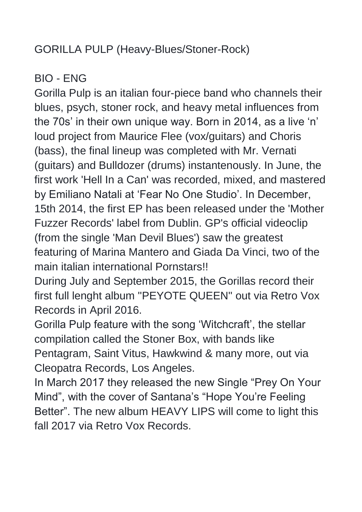## GORILLA PULP (Heavy-Blues/Stoner-Rock)

## BIO - ENG

Gorilla Pulp is an italian four-piece band who channels their blues, psych, stoner rock, and heavy metal influences from the 70s' in their own unique way. Born in 2014, as a live 'n' loud project from Maurice Flee (vox/guitars) and Choris (bass), the final lineup was completed with Mr. Vernati (guitars) and Bulldozer (drums) instantenously. In June, the first work 'Hell In a Can' was recorded, mixed, and mastered by Emiliano Natali at 'Fear No One Studio'. In December, 15th 2014, the first EP has been released under the 'Mother Fuzzer Records' label from Dublin. GP's official videoclip (from the single 'Man Devil Blues') saw the greatest featuring of Marina Mantero and Giada Da Vinci, two of the main italian international Pornstars!!

During July and September 2015, the Gorillas record their first full lenght album ''PEYOTE QUEEN'' out via Retro Vox Records in April 2016.

Gorilla Pulp feature with the song 'Witchcraft', the stellar compilation called the Stoner Box, with bands like Pentagram, Saint Vitus, Hawkwind & many more, out via Cleopatra Records, Los Angeles.

In March 2017 they released the new Single "Prey On Your Mind", with the cover of Santana's "Hope You're Feeling Better". The new album HEAVY LIPS will come to light this fall 2017 via Retro Vox Records.